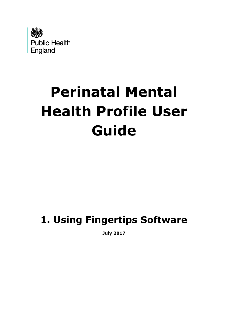

# **Perinatal Mental Health Profile User Guide**

# **1. Using Fingertips Software**

**July 2017**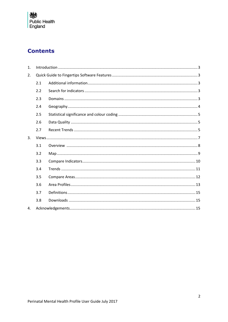

# **Contents**

| 1. |     |  |  |  |  |  |  |
|----|-----|--|--|--|--|--|--|
| 2. |     |  |  |  |  |  |  |
|    | 2.1 |  |  |  |  |  |  |
|    | 2.2 |  |  |  |  |  |  |
|    | 2.3 |  |  |  |  |  |  |
|    | 2.4 |  |  |  |  |  |  |
|    | 2.5 |  |  |  |  |  |  |
|    | 2.6 |  |  |  |  |  |  |
|    | 2.7 |  |  |  |  |  |  |
| 3. |     |  |  |  |  |  |  |
|    | 3.1 |  |  |  |  |  |  |
|    | 3.2 |  |  |  |  |  |  |
|    | 3.3 |  |  |  |  |  |  |
|    | 3.4 |  |  |  |  |  |  |
|    | 3.5 |  |  |  |  |  |  |
|    | 3.6 |  |  |  |  |  |  |
|    | 3.7 |  |  |  |  |  |  |
|    | 3.8 |  |  |  |  |  |  |
| 4. |     |  |  |  |  |  |  |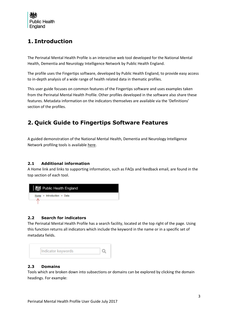

## <span id="page-2-0"></span>**1. Introduction**

The Perinatal Mental Health Profile is an interactive web tool developed for the National Mental Health, Dementia and Neurology Intelligence Network by Public Health England.

The profile uses the Fingertips software, developed by Public Health England, to provide easy access to in-depth analysis of a wide range of health related data in thematic profiles.

This user guide focuses on common features of the Fingertips software and uses examples taken from the Perinatal Mental Health Profile. Other profiles developed in the software also share these features. Metadata information on the indicators themselves are available via the 'Definitions' section of the profiles.

# <span id="page-2-1"></span>**2. Quick Guide to Fingertips Software Features**

[A](file://///filenet01/kirkstone/phe/mhdnin/04%20Key%20Projects/Mental%20Health/MH%20Programmes%20of%20Work/Crisis/Supporting%20Documents/A) guided demonstration of the National Mental Health, Dementia and Neurology Intelligence Network profiling tools is available [here.](https://www.youtube.com/watch?v=j_8WJUDldb8&feature=youtu.be)

#### <span id="page-2-2"></span>**2.1 Additional information**

A Home link and links to supporting information, such as FAQs and feedback email, are found in the top section of each tool.



#### <span id="page-2-3"></span>**2.2 Search for indicators**

The Perinatal Mental Health Profile has a search facility, located at the top right of the page. Using this function returns all indicators which include the keyword in the name or in a specific set of metadata fields.



#### <span id="page-2-4"></span>**2.3 Domains**

Tools which are broken down into subsections or domains can be explored by clicking the domain headings. For example: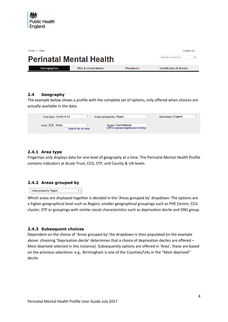| <b>Contact Us</b><br>Home $>$ Data                   |                                   |            |                                    |  |  |  |  |  |  |
|------------------------------------------------------|-----------------------------------|------------|------------------------------------|--|--|--|--|--|--|
| Indicator keywords<br><b>Perinatal Mental Health</b> |                                   |            |                                    |  |  |  |  |  |  |
|                                                      |                                   |            |                                    |  |  |  |  |  |  |
| Demographics                                         | <b>Risk &amp; related factors</b> | Prevalence | <b>Identification &amp; Access</b> |  |  |  |  |  |  |

#### <span id="page-3-0"></span>**2.4 Geography**

The example below shows a profile with the complete set of options, only offered when choices are actually available in the data:

| Area type: County & UA                          |                    | Areas grouped by: Region |                                                            | Benchmark: England |  |
|-------------------------------------------------|--------------------|--------------------------|------------------------------------------------------------|--------------------|--|
| Area: $\blacklozenge \blacktriangleright$ Derby | Search for an area |                          | Region: East Midlands<br>CIPFA nearest neighbours to Derby |                    |  |

#### **2.4.1 Area type**

Fingertips only displays data for one level of geography at a time. The Perinatal Mental Health Profile contains indicators at Acute Trust, CCG, STP, and County & UA levels.

#### **2.4.2 Areas grouped by**

| Areas grouped by Region |  |
|-------------------------|--|

Which areas are displayed together is decided in the 'Areas grouped by' dropdown. The options are a higher geographical level such as Region, smaller geographical groupings such as PHE Centre, CCG cluster, STP or groupings with similar social characteristics such as deprivation decile and ONS group.

#### **2.4.3 Subsequent choices**

Dependent on the choice of 'Areas grouped by' the dropdown is then populated (in the example above: choosing 'Deprivation decile' determines that a choice of deprivation deciles are offered – Most deprived selected in this instance). Subsequently options are offered in 'Area', these are based on the previous selections: e.g., Birmingham is one of the Counties/UAs in the "Most deprived" decile.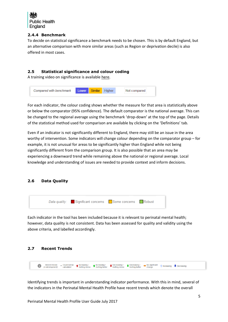

#### **2.4.4 Benchmark**

To decide on statistical significance a benchmark needs to be chosen. This is by default England, but an alternative comparison with more similar areas (such as Region or deprivation decile) is also offered in most cases.

#### <span id="page-4-0"></span>**2.5 Statistical significance and colour coding**

A training video on significance is available [here.](https://www.youtube.com/watch?v=zVDcYbf0Y4w)



For each indicator, the colour coding shows whether the measure for that area is statistically above or below the comparator (95% confidence). The default comparator is the national average. This can be changed to the regional average using the benchmark 'drop-down' at the top of the page. Details of the statistical method used for comparison are available by clicking on the 'Definitions' tab.

Even if an indicator is not significantly different to England, there may still be an issue in the area worthy of intervention. Some indicators will change colour depending on the comparator group – for example, it is not unusual for areas to be significantly higher than England while not being significantly different from the comparison group. It is also possible that an area may be experiencing a downward trend while remaining above the national or regional average. Local knowledge and understanding of issues are needed to provide context and inform decisions.

#### <span id="page-4-1"></span>**2.6 Data Quality**



Each indicator in the tool has been included because it is relevant to perinatal mental health; however, data quality is not consistent. Data has been assessed for quality and validity using the above criteria, and labelled accordingly.

#### <span id="page-4-2"></span>**2.7 Recent Trends**

| Recent trends: Could not be <b>f</b> Increasing / <b>f</b> Increasing / <b>F</b> Decreasing / <b>F</b> Decreasing / <b>F</b> Decreasing / <b>F</b> Cetting better <b>f</b> Cetting better and calculated <b>f</b> Getting worse <b>f</b> Getting worse <b>f</b> Getting better <b></b><br>Increasing $\blacktriangleright$ Decreasing<br>(in development)<br>v |  |
|----------------------------------------------------------------------------------------------------------------------------------------------------------------------------------------------------------------------------------------------------------------------------------------------------------------------------------------------------------------|--|
|----------------------------------------------------------------------------------------------------------------------------------------------------------------------------------------------------------------------------------------------------------------------------------------------------------------------------------------------------------------|--|

Identifying trends is important in understanding indicator performance. With this in mind, several of the indicators in the Perinatal Mental Health Profile have recent trends which denote the overall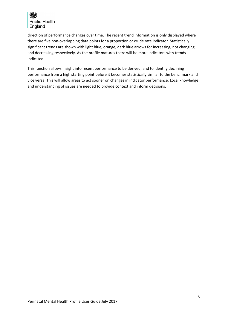

direction of performance changes over time. The recent trend information is only displayed where there are five non-overlapping data points for a proportion or crude rate indicator. Statistically significant trends are shown with light blue, orange, dark blue arrows for increasing, not changing and decreasing respectively. As the profile matures there will be more indicators with trends indicated.

This function allows insight into recent performance to be derived, and to identify declining performance from a high starting point before it becomes statistically similar to the benchmark and vice versa. This will allow areas to act sooner on changes in indicator performance. Local knowledge and understanding of issues are needed to provide context and inform decisions.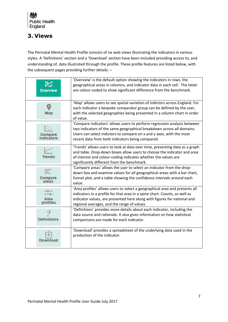# <span id="page-6-0"></span>**3. Views**

The Perinatal Mental Health Profile consists of six web views illustrating the indicators in various styles. A 'Definitions' section and a 'Download' section have been included providing access to, and understanding of, data illustrated through the profile. These profile features are listed below, with the subsequent pages providing further details: –

| Overview                | 'Overview' is the default option showing the indicators in rows, the<br>geographical areas in columns, and indicator data in each cell. The latter<br>are colour-coded to show significant difference from the benchmark.                                                            |
|-------------------------|--------------------------------------------------------------------------------------------------------------------------------------------------------------------------------------------------------------------------------------------------------------------------------------|
| Map                     | 'Map' allows users to see spatial variation of indictors across England. For<br>each indicator a bespoke comparator group can be defined by the user,<br>with the selected geographies being presented in a column chart in order<br>of value.                                       |
| Compare                 | 'Compare indicators' allows users to perform regression analysis between<br>two indicators of the same geographical breakdown across all domains.<br>Users can select indictors to compare on x and y axes, with the most<br>recent data from both indicators being compared.        |
| Trends                  | 'Trends' allows users to look at data over time, presenting data as a graph<br>and table. Drop-down boxes allow users to choose the indicator and area<br>of interest and colour-coding indicates whether the values are<br>significantly different from the benchmark.              |
| <b>Compare</b><br>areas | 'Compare areas' allows the user to select an indicator from the drop-<br>down box and examine values for all geographical areas with a bar chart,<br>funnel plot, and a table showing the confidence intervals around each<br>value.                                                 |
| Area<br>profiles        | 'Area profiles' allows users to select a geographical area and presents all<br>indicators in a profile for that area in a spine chart. Counts, as well as<br>indicator values, are presented here along with figures for national and<br>regional averages, and the range of values. |
| <b>Definitions</b>      | 'Definitions' provides more details about each indicator, including the<br>data source and rationale. It also gives information on how statistical<br>comparisons are made for each indicator.                                                                                       |
| Download                | 'Download' provides a spreadsheet of the underlying data used in the<br>production of the indicator.                                                                                                                                                                                 |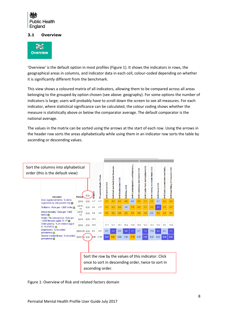

#### <span id="page-7-0"></span>**3.1 Overview**



'Overview' is the default option in most profiles (Figure 1). It shows the indicators in rows, the geographical areas in columns, and indicator data in each cell, colour-coded depending on whether it is significantly different from the benchmark.

This view shows a coloured matrix of all indicators, allowing them to be compared across all areas belonging to the grouped-by option chosen (see above: geography). For some options the number of indicators is large; users will probably have to scroll down the screen to see all measures. For each indicator, where statistical significance can be calculated, the colour coding shows whether the measure is statistically above or below the comparator average. The default comparator is the national average.

The values in the matrix can be sorted using the arrows at the start of each row. Using the arrows in the header row sorts the areas alphabetically while using them in an indicator row sorts the table by ascending or descending values.



Figure 1: Overview of Risk and related factors domain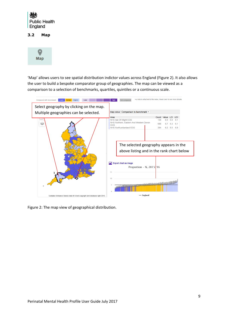

<span id="page-8-0"></span>**3.2 Map**



'Map' allows users to see spatial distribution indictor values across England (Figure 2). It also allows the user to build a bespoke comparator group of geographies. The map can be viewed as a comparison to a selection of benchmarks, quartiles, quintiles or a continuous scale.



Figure 2: The map view of geographical distribution.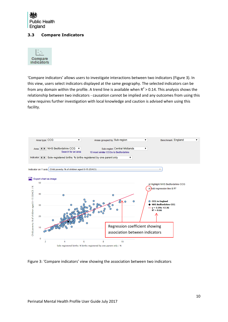

#### <span id="page-9-0"></span>**3.3 Compare Indicators**



'Compare indicators' allows users to investigate interactions between two indicators (Figure 3). In this view, users select indicators displayed at the same geography. The selected indicators can be from any domain within the profile. A trend line is available when  $R^2 > 0.14$ . This analysis shows the relationship between two indicators - causation cannot be implied and any outcomes from using this view requires further investigation with local knowledge and caution is advised when using this facility.



Figure 3: 'Compare indicators' view showing the association between two indicators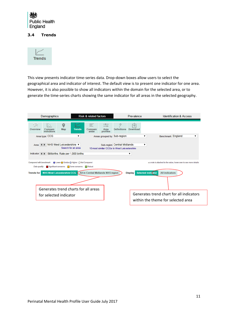

#### <span id="page-10-0"></span>**3.4 Trends**



This view presents indicator time-series data. Drop-down boxes allow users to select the geographical area and indicator of interest. The default view is to present one indicator for one area. However, it is also possible to show all indicators within the domain for the selected area, or to generate the time-series charts showing the same indicator for all areas in the selected geography.

|                                                                                                                                                                                                                                                                                                                                                                                  | <b>Demographics</b>                |            |               | <b>Risk &amp; related factors</b> |                                                       |                             | Prevalence            |   | <b>Identification &amp; Access</b>                                             |
|----------------------------------------------------------------------------------------------------------------------------------------------------------------------------------------------------------------------------------------------------------------------------------------------------------------------------------------------------------------------------------|------------------------------------|------------|---------------|-----------------------------------|-------------------------------------------------------|-----------------------------|-----------------------|---|--------------------------------------------------------------------------------|
| Overview                                                                                                                                                                                                                                                                                                                                                                         | Й.<br>Compare<br><i>indicators</i> | <b>Map</b> | <b>Trends</b> | $\equiv$<br>Compare<br>areas      | $-0 -$<br>$-0 - 0 - 0 = 0$<br>Area<br><b>profiles</b> | <b>Definitions</b>          | ΓU<br><b>Download</b> |   |                                                                                |
|                                                                                                                                                                                                                                                                                                                                                                                  | Area type CCG                      |            | ▼             |                                   |                                                       | Areas grouped by Sub-region |                       | ▼ | Benchmark England<br>▼                                                         |
| Area (4) NHS West Leicestershire ▼<br>Sub-region Central Midlands<br>▼<br>Search for an area<br>10 most similar CCGs to West Leicestershire<br>Indicator ( ) Stillbirths: Rate per 1,000 births<br>▼                                                                                                                                                                             |                                    |            |               |                                   |                                                       |                             |                       |   |                                                                                |
| <b>Compared with benchmark</b><br>● Lower ● Similar ● Higher ● Not Compared<br>* a note is attached to the value, hover over to see more details<br>Data quality: Significant concerns Some concerns<br>Robust<br>Selected indicator<br><b>NHS West Leicestershire CCG</b><br>All in Central Midlands NHS region<br><b>All indicators</b><br><b>Display</b><br><b>Trends for</b> |                                    |            |               |                                   |                                                       |                             |                       |   |                                                                                |
|                                                                                                                                                                                                                                                                                                                                                                                  |                                    |            |               |                                   |                                                       |                             |                       |   |                                                                                |
| Generates trend charts for all areas<br>for selected indicator                                                                                                                                                                                                                                                                                                                   |                                    |            |               |                                   |                                                       |                             |                       |   | Generates trend chart for all indicators<br>within the theme for selected area |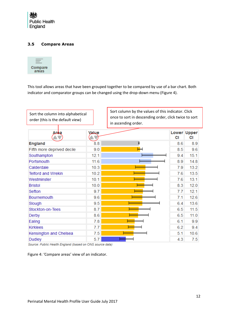

#### <span id="page-11-0"></span>**3.5 Compare Areas**



This tool allows areas that have been grouped together to be compared by use of a bar chart. Both indicator and comparator groups can be changed using the drop-down menu (Figure 4).

| Sort the column into alphabetical<br>order (this is the default view) |       | Sort column by the values of this indicator. Click<br>once to sort in descending order, click twice to sort<br>in ascending order. |     |                          |
|-----------------------------------------------------------------------|-------|------------------------------------------------------------------------------------------------------------------------------------|-----|--------------------------|
| Aroa                                                                  | Value |                                                                                                                                    | СI  | <b>Lower Upper</b><br>СI |
| <b>England</b>                                                        | 8.8   | H                                                                                                                                  | 8.6 | 8.9                      |
| Fifth more deprived decile                                            | 9.0   |                                                                                                                                    | 8.5 | 9.6                      |
| Southampton                                                           | 12.1  |                                                                                                                                    | 9.4 | 15.1                     |
| Portsmouth                                                            | 11.6  |                                                                                                                                    | 8.9 | 14.8                     |
| Calderdale                                                            | 10.3  |                                                                                                                                    | 7.9 | 13.2                     |
| <b>Telford and Wrekin</b>                                             | 10.2  |                                                                                                                                    | 7.6 | 13.5                     |
| Westminster                                                           | 10.1  |                                                                                                                                    | 7.6 | 13.1                     |
| <b>Bristol</b>                                                        | 10.0  |                                                                                                                                    | 8.3 | 12.0                     |
| Sefton                                                                | 9.7   |                                                                                                                                    | 7.7 | 12.1                     |
| <b>Bournemouth</b>                                                    | 9.6   |                                                                                                                                    | 7.1 | 12.6                     |
| Slough                                                                | 9.5   |                                                                                                                                    | 6.4 | 13.6                     |
| Stockton-on-Tees                                                      | 8.7   |                                                                                                                                    | 6.5 | 11.5                     |
| Derby                                                                 | 8.6   |                                                                                                                                    | 6.5 | 11.0                     |
| Ealing                                                                | 7.8   |                                                                                                                                    | 6.1 | 9.9                      |
| <b>Kirklees</b>                                                       | 7.7   |                                                                                                                                    | 6.2 | 9.4                      |
| Kensington and Chelsea                                                | 7.5   |                                                                                                                                    | 5.1 | 10.6                     |
| <b>Dudley</b>                                                         | 5.7   |                                                                                                                                    | 4.3 | 7.5                      |

Source: Public Health England (based on ONS source data)

Figure 4: 'Compare areas' view of an indicator.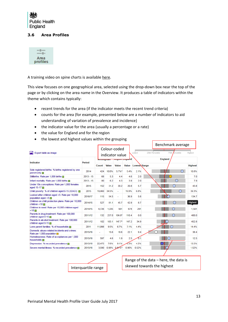

#### <span id="page-12-0"></span>**3.6 Area Profiles**



A training video on spine charts is available [here.](https://www.youtube.com/watch?v=480Mswgcg8M)

This view focuses on one geographical area, selected using the drop-down box near the top of the page or by clicking on the area name in the Overview. It produces a table of indicators within the theme which contains typically:

- recent trends for the area (if the indicator meets the recent trend criteria)
- counts for the area (for example, presented below are a number of indicators to aid understanding of variation of prevalence and incidence)
- the indicator value for the area (usually a percentage or a rate)
- the value for England and for the region
- the lowest and highest values within the grouping

|                                                                                      |             |                |                                 |              |              |                            | Benchmark average                       |                |         |                |
|--------------------------------------------------------------------------------------|-------------|----------------|---------------------------------|--------------|--------------|----------------------------|-----------------------------------------|----------------|---------|----------------|
| <b>A</b> Export table as image                                                       |             |                | Colour-coded<br>indicator value |              | Lowest       |                            | 75th<br>25th Percentile<br>rcentile     |                | Highest |                |
| <b>Indicator</b>                                                                     | Period      | <b>NVRUDED</b> |                                 |              |              | "hd                        |                                         | <b>England</b> |         |                |
|                                                                                      |             | Count          | <b>Value</b>                    | <b>Value</b> | <b>Value</b> | Lowest Range               |                                         |                |         | <b>Highest</b> |
| Sole registered births: % births registered by one<br>parent only                    | 2014        | 424            | 10.0%                           | $5.7\%*$     | 5.4%         | 2.1%                       |                                         |                |         | 10.8%          |
| Stillbirths: Rate per 1,000 births                                                   | $2013 - 15$ | 68             | 5.3                             | 4.4          | 4.6          | 2.0                        |                                         |                |         | 7.0            |
| Infant mortality: Rate per 1,000 births $\Box$                                       | $2013 - 15$ | 80             | 6.2                             | 4.3          | 3.9          | 2.0                        |                                         |                |         | 7.9            |
| Under 18s conceptions: Rate per 1,000 females<br>aged 15-17                          | 2015        | 152            | 31.2                            | 20.2         | 20.8         | 5.7                        |                                         |                |         | 43.8           |
| Child poverty: % of children aged 0-15 (IDACI)                                       | 2015        | 19,460         | 34.5%                           |              | 19.9%        | 6.8%                       |                                         |                |         | 39.3%          |
| Looked after children aged <5: Rate per 10,000<br>population aged $< 5 \blacksquare$ | 2016/17     | 115            | 54.5                            |              | 36.9         | 5.6                        |                                         |                |         | 134.7          |
| Children on child protection plans: Rate per 10,000<br>children < $18 \square$       | 2014/15     | 527            | 81.1                            | 45.7         | 42.9         | 8.7                        |                                         |                |         | <b>Highest</b> |
| Children in need: Rate per 10,000 children aged<br>< 18                              | 2014/15     | 6.726          | 1.035                           | 561          | 674          | 291                        |                                         |                |         | 1,501          |
| Parents in drug treatment: Rate per 100,000<br>children aged 0-15                    | 2011/12     | 132            | 237.0                           | $104.8*$     | 110.4        | 0.0                        |                                         |                |         | 400.0          |
| Parents in alcohol treatment: Rate per 100,000<br>children aged 0-15 $\Box$          | 2011/12     | 102            | 183.1                           | $147.7*$     | 147.2        | 34.9                       |                                         |                |         | 452.8          |
| Lone parent families: % of households <b>m</b>                                       | 2011        | 11,998         | 9.5%                            | 6.7%         | 7.1%         | 4.4%                       |                                         |                |         | 14.4%          |
| Domestic abuse-related incidents and crimes:<br>Rate per 1,000 population            | 2015/16     |                | 15.6                            | 18.6         | 22.1         | 9.4                        |                                         |                |         | 38.4           |
| Homelessness: Rate of acceptances per 1,000<br>households <b>In</b>                  | 2015/16     | 597            | 4.6                             | 1.9          | 2.5          | 0.1                        |                                         |                |         | 12.5           |
| 2015/16<br>Depression: % recorded prevalence m                                       |             | 22,475         | 7.6%                            | 9.1%         | 3%           | 4.5%                       |                                         |                |         | 13.5%          |
| Severe mental illness: % recorded prevalence<br>2015/16<br>3.590                     |             |                | 0.98%                           | $0.81%$ *    | 0.90%        | 0.52%                      |                                         |                |         | 1.52%          |
|                                                                                      |             |                |                                 |              |              |                            |                                         |                |         |                |
|                                                                                      |             |                |                                 |              |              |                            | Range of the data $-$ here, the data is |                |         |                |
| Interquartile range                                                                  |             |                |                                 |              |              | skewed towards the highest |                                         |                |         |                |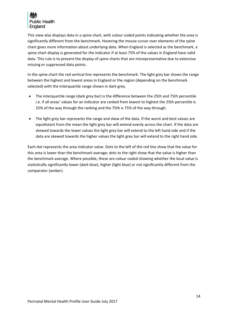

This view also displays data in a spine chart, with colour coded points indicating whether the area is significantly different from the benchmark. Hovering the mouse cursor over elements of the spine chart gives more information about underlying data. When England is selected as the benchmark, a spine chart display is generated for the indicator if at least 75% of the values in England have valid data. This rule is to prevent the display of spine charts that are misrepresentative due to extensive missing or suppressed data points.

In the spine chart the red vertical line represents the benchmark. The light grey bar shows the range between the highest and lowest areas in England or the region (depending on the benchmark selected) with the interquartile range shown in dark grey.

- The interquartile range (dark grey bar) is the difference between the 25th and 75th percentile i.e. if all areas' values for an indicator are ranked from lowest to highest the 25th percentile is 25% of the way through the ranking and the 75th is 75% of the way through.
- The light grey bar represents the range and skew of the data. If the worst and best values are equidistant from the mean the light grey bar will extend evenly across the chart. If the data are skewed towards the lower values the light grey bar will extend to the left hand side and if the data are skewed towards the higher values the light grey bar will extend to the right hand side.

Each dot represents the area indicator value. Dots to the left of the red line show that the value for this area is lower than the benchmark average; dots to the right show that the value is higher than the benchmark average. Where possible, these are colour coded showing whether the local value is statistically significantly lower (dark blue), higher (light blue) or not significantly different from the comparator (amber).